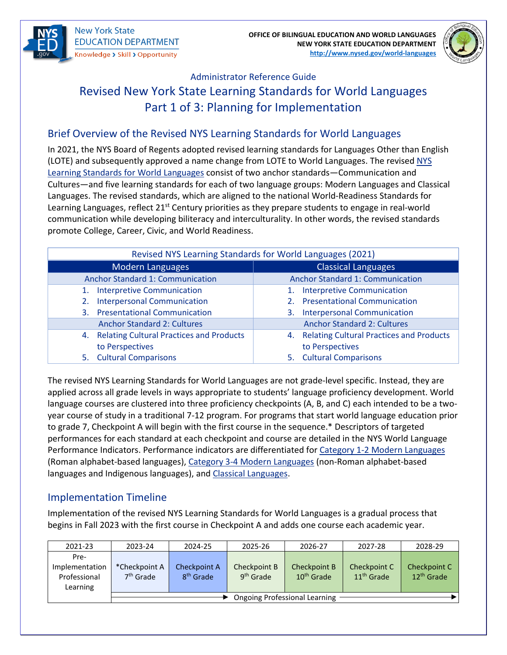



# Administrator Reference Guide Revised New York State Learning Standards for World Languages Part 1 of 3: Planning for Implementation

## Brief Overview of the Revised NYS Learning Standards for World Languages

In 2021, the NYS Board of Regents adopted revised learning standards for Languages Other than English (LOTE) and subsequently approved a name change from LOTE to World Languages. The revised [NYS](http://www.nysed.gov/common/nysed/files/programs/world-languages/nys-learning-standards-for-world-languages-2021.pdf)  [Learning Standards for World Languages](http://www.nysed.gov/common/nysed/files/programs/world-languages/nys-learning-standards-for-world-languages-2021.pdf) consist of two anchor standards—Communication and Cultures—and five learning standards for each of two language groups: Modern Languages and Classical Languages. The revised standards, which are aligned to the national World-Readiness Standards for Learning Languages, reflect 21<sup>st</sup> Century priorities as they prepare students to engage in real-world communication while developing biliteracy and interculturality. In other words, the revised standards promote College, Career, Civic, and World Readiness.

| Revised NYS Learning Standards for World Languages (2021) |                                             |  |  |  |  |
|-----------------------------------------------------------|---------------------------------------------|--|--|--|--|
| <b>Modern Languages</b>                                   | <b>Classical Languages</b>                  |  |  |  |  |
| <b>Anchor Standard 1: Communication</b>                   | <b>Anchor Standard 1: Communication</b>     |  |  |  |  |
| 1. Interpretive Communication                             | <b>Interpretive Communication</b>           |  |  |  |  |
| <b>Interpersonal Communication</b><br>2.                  | 2. Presentational Communication             |  |  |  |  |
| 3. Presentational Communication                           | <b>Interpersonal Communication</b><br>3.    |  |  |  |  |
| <b>Anchor Standard 2: Cultures</b>                        | <b>Anchor Standard 2: Cultures</b>          |  |  |  |  |
| 4. Relating Cultural Practices and Products               | 4. Relating Cultural Practices and Products |  |  |  |  |
| to Perspectives                                           | to Perspectives                             |  |  |  |  |
| 5. Cultural Comparisons                                   | 5. Cultural Comparisons                     |  |  |  |  |

The revised NYS Learning Standards for World Languages are not grade-level specific. Instead, they are applied across all grade levels in ways appropriate to students' language proficiency development. World language courses are clustered into three proficiency checkpoints (A, B, and C) each intended to be a twoyear course of study in a traditional 7-12 program. For programs that start world language education prior to grade 7, Checkpoint A will begin with the first course in the sequence.\* Descriptors of targeted performances for each standard at each checkpoint and course are detailed in the NYS World Language Performance Indicators. Performance indicators are differentiated for [Category 1-2 Modern Languages](http://www.nysed.gov/common/nysed/files/programs/world-languages/proficiency-ranges-and-performance-indicators-for-modern-languages-cat-1-2-11x17_0.pdf) (Roman alphabet-based languages), [Category 3-4 Modern Languages](http://www.nysed.gov/common/nysed/files/programs/world-languages/proficiency-ranges-and-performance-indicators-for-modern-languages-cat-3-4-11x17_0.pdf) (non-Roman alphabet-based languages and Indigenous languages), and [Classical Languages.](http://www.nysed.gov/common/nysed/files/programs/world-languages/proficiency-ranges-and-performance-indicators-for-classical-languages-11-x-17_1.pdf)

### Implementation Timeline

Implementation of the revised NYS Learning Standards for World Languages is a gradual process that begins in Fall 2023 with the first course in Checkpoint A and adds one course each academic year.

| 2021-23                                            | 2023-24                              | 2024-25                               | 2025-26                               | 2026-27                                | 2027-28                      | 2028-29                                |
|----------------------------------------------------|--------------------------------------|---------------------------------------|---------------------------------------|----------------------------------------|------------------------------|----------------------------------------|
| Pre-<br>Implementation<br>Professional<br>Learning | *Checkpoint A<br>$7th$ Grade         | Checkpoint A<br>8 <sup>th</sup> Grade | Checkpoint B<br>9 <sup>th</sup> Grade | Checkpoint B<br>10 <sup>th</sup> Grade | Checkpoint C<br>$11th$ Grade | Checkpoint C<br>12 <sup>th</sup> Grade |
|                                                    | <b>Ongoing Professional Learning</b> |                                       |                                       |                                        |                              |                                        |